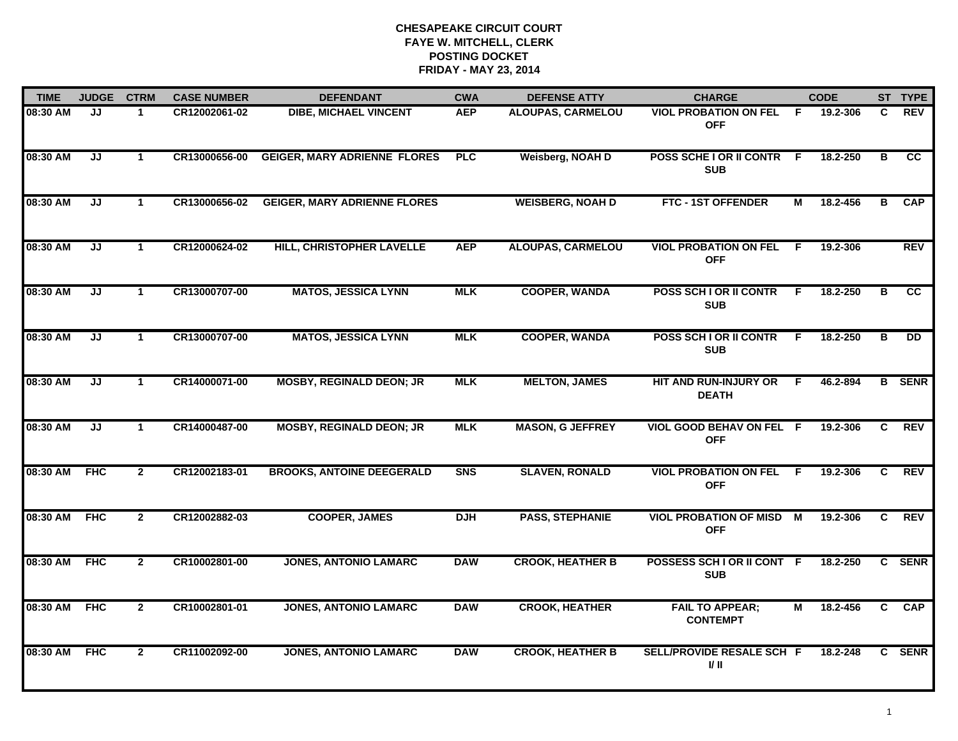| <b>TIME</b>  | <b>JUDGE</b> | <b>CTRM</b>          | <b>CASE NUMBER</b> | <b>DEFENDANT</b>                    | <b>CWA</b> | <b>DEFENSE ATTY</b>      | <b>CHARGE</b>                                 |     | <b>CODE</b>  |                         | ST TYPE                |
|--------------|--------------|----------------------|--------------------|-------------------------------------|------------|--------------------------|-----------------------------------------------|-----|--------------|-------------------------|------------------------|
| 08:30 AM     | JJ           | 1                    | CR12002061-02      | <b>DIBE, MICHAEL VINCENT</b>        | <b>AEP</b> | <b>ALOUPAS, CARMELOU</b> | <b>VIOL PROBATION ON FEL</b><br><b>OFF</b>    | -F. | 19.2-306     | C.                      | <b>REV</b>             |
| 08:30 AM     | JJ           | $\mathbf{1}$         | CR13000656-00      | <b>GEIGER, MARY ADRIENNE FLORES</b> | PLC        | Weisberg, NOAH D         | POSS SCHE I OR II CONTR F<br><b>SUB</b>       |     | 18.2-250     | $\overline{\mathbf{B}}$ | $\overline{\text{cc}}$ |
| 08:30 AM     | JJ           | $\blacktriangleleft$ | CR13000656-02      | <b>GEIGER, MARY ADRIENNE FLORES</b> |            | <b>WEISBERG, NOAH D</b>  | FTC - 1ST OFFENDER                            | М   | 18.2-456     | в                       | <b>CAP</b>             |
| 08:30 AM     | JJ           | $\mathbf 1$          | CR12000624-02      | HILL, CHRISTOPHER LAVELLE           | <b>AEP</b> | <b>ALOUPAS, CARMELOU</b> | <b>VIOL PROBATION ON FEL</b><br><b>OFF</b>    | -F  | 19.2-306     |                         | <b>REV</b>             |
| 08:30 AM     | JJ           | $\mathbf{1}$         | CR13000707-00      | <b>MATOS, JESSICA LYNN</b>          | <b>MLK</b> | <b>COOPER, WANDA</b>     | POSS SCH I OR II CONTR<br><b>SUB</b>          | F   | 18.2-250     | в                       | <b>CC</b>              |
| 08:30 AM     | JJ           | $\mathbf{1}$         | CR13000707-00      | <b>MATOS, JESSICA LYNN</b>          | <b>MLK</b> | <b>COOPER, WANDA</b>     | POSS SCH I OR II CONTR<br><b>SUB</b>          | F.  | 18.2-250     | в                       | <b>DD</b>              |
| 08:30 AM     | JJ           | $\mathbf{1}$         | CR14000071-00      | <b>MOSBY, REGINALD DEON; JR</b>     | <b>MLK</b> | <b>MELTON, JAMES</b>     | HIT AND RUN-INJURY OR<br><b>DEATH</b>         | F.  | 46.2-894     |                         | <b>B</b> SENR          |
| 08:30 AM     | JJ           | $\mathbf 1$          | CR14000487-00      | <b>MOSBY, REGINALD DEON; JR</b>     | <b>MLK</b> | <b>MASON, G JEFFREY</b>  | VIOL GOOD BEHAV ON FEL F<br><b>OFF</b>        |     | 19.2-306     | C                       | <b>REV</b>             |
| 08:30 AM     | <b>FHC</b>   | $\overline{2}$       | CR12002183-01      | <b>BROOKS, ANTOINE DEEGERALD</b>    | <b>SNS</b> | <b>SLAVEN, RONALD</b>    | <b>VIOL PROBATION ON FEL</b><br><b>OFF</b>    | F.  | 19.2-306     | C                       | <b>REV</b>             |
| 08:30 AM FHC |              | $\overline{2}$       | CR12002882-03      | <b>COOPER, JAMES</b>                | <b>DJH</b> | <b>PASS, STEPHANIE</b>   | <b>VIOL PROBATION OF MISD M</b><br><b>OFF</b> |     | 19.2-306     | C.                      | <b>REV</b>             |
| 08:30 AM     | <b>FHC</b>   | $\mathbf{2}$         | CR10002801-00      | <b>JONES, ANTONIO LAMARC</b>        | <b>DAW</b> | <b>CROOK, HEATHER B</b>  | POSSESS SCH I OR II CONT F<br><b>SUB</b>      |     | 18.2-250     |                         | C SENR                 |
| 08:30 AM     | <b>FHC</b>   | $\overline{2}$       | CR10002801-01      | <b>JONES, ANTONIO LAMARC</b>        | <b>DAW</b> | <b>CROOK, HEATHER</b>    | <b>FAIL TO APPEAR;</b><br><b>CONTEMPT</b>     | М   | 18.2-456     | $\overline{c}$          | <b>CAP</b>             |
| 08:30 AM     | <b>FHC</b>   | $\mathbf{2}$         | CR11002092-00      | <b>JONES, ANTONIO LAMARC</b>        | <b>DAW</b> | <b>CROOK, HEATHER B</b>  | SELL/PROVIDE RESALE SCH F<br>I/ II            |     | $18.2 - 248$ | C.                      | <b>SENR</b>            |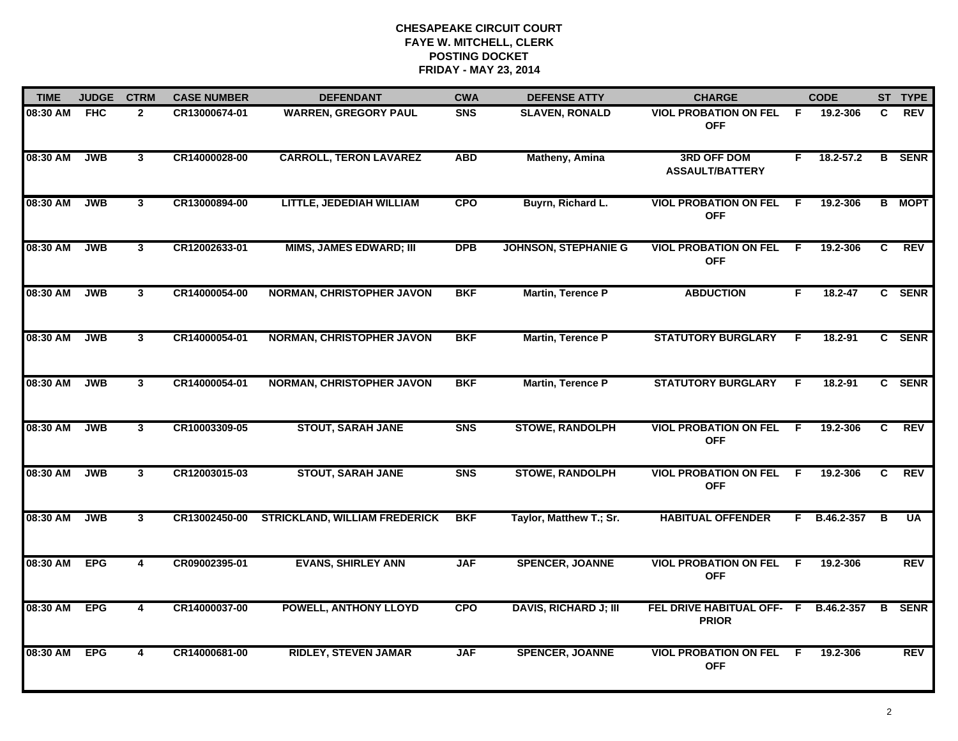| <b>TIME</b> | <b>JUDGE</b> | <b>CTRM</b>             | <b>CASE NUMBER</b> | <b>DEFENDANT</b>                     | <b>CWA</b>     | <b>DEFENSE ATTY</b>          | <b>CHARGE</b>                                |     | <b>CODE</b> |    | ST TYPE       |
|-------------|--------------|-------------------------|--------------------|--------------------------------------|----------------|------------------------------|----------------------------------------------|-----|-------------|----|---------------|
| 08:30 AM    | <b>FHC</b>   | $\mathbf{2}$            | CR13000674-01      | <b>WARREN, GREGORY PAUL</b>          | <b>SNS</b>     | <b>SLAVEN, RONALD</b>        | <b>VIOL PROBATION ON FEL</b><br><b>OFF</b>   | F.  | 19.2-306    | C. | <b>REV</b>    |
| 08:30 AM    | <b>JWB</b>   | $\mathbf{3}$            | CR14000028-00      | <b>CARROLL, TERON LAVAREZ</b>        | <b>ABD</b>     | Matheny, Amina               | <b>3RD OFF DOM</b><br><b>ASSAULT/BATTERY</b> | F.  | 18.2-57.2   | B  | <b>SENR</b>   |
| 08:30 AM    | <b>JWB</b>   | $\mathbf{3}$            | CR13000894-00      | LITTLE, JEDEDIAH WILLIAM             | <b>CPO</b>     | Buyrn, Richard L.            | <b>VIOL PROBATION ON FEL</b><br><b>OFF</b>   | -F. | 19.2-306    |    | <b>B</b> MOPT |
| 08:30 AM    | <b>JWB</b>   | $\mathbf{3}$            | CR12002633-01      | <b>MIMS, JAMES EDWARD; III</b>       | <b>DPB</b>     | <b>JOHNSON, STEPHANIE G</b>  | <b>VIOL PROBATION ON FEL</b><br><b>OFF</b>   | -F. | 19.2-306    | C  | <b>REV</b>    |
| 08:30 AM    | <b>JWB</b>   | 3                       | CR14000054-00      | <b>NORMAN, CHRISTOPHER JAVON</b>     | <b>BKF</b>     | Martin, Terence P            | <b>ABDUCTION</b>                             | F.  | $18.2 - 47$ |    | C SENR        |
| 08:30 AM    | <b>JWB</b>   | 3                       | CR14000054-01      | <b>NORMAN, CHRISTOPHER JAVON</b>     | <b>BKF</b>     | <b>Martin, Terence P</b>     | <b>STATUTORY BURGLARY</b>                    | -F. | 18.2-91     |    | C SENR        |
| 08:30 AM    | <b>JWB</b>   | $\overline{3}$          | CR14000054-01      | <b>NORMAN, CHRISTOPHER JAVON</b>     | <b>BKF</b>     | <b>Martin, Terence P</b>     | <b>STATUTORY BURGLARY</b>                    | F.  | 18.2-91     |    | C SENR        |
| 08:30 AM    | <b>JWB</b>   | $\mathbf{3}$            | CR10003309-05      | <b>STOUT, SARAH JANE</b>             | S <sub>N</sub> | <b>STOWE, RANDOLPH</b>       | <b>VIOL PROBATION ON FEL</b><br><b>OFF</b>   | E   | 19.2-306    | C. | <b>REV</b>    |
| 08:30 AM    | <b>JWB</b>   | $\mathbf{3}$            | CR12003015-03      | <b>STOUT, SARAH JANE</b>             | S <sub>N</sub> | <b>STOWE, RANDOLPH</b>       | <b>VIOL PROBATION ON FEL</b><br><b>OFF</b>   | - F | 19.2-306    | C  | <b>REV</b>    |
| 08:30 AM    | <b>JWB</b>   | 3 <sup>1</sup>          | CR13002450-00      | <b>STRICKLAND, WILLIAM FREDERICK</b> | <b>BKF</b>     | Taylor, Matthew T.; Sr.      | <b>HABITUAL OFFENDER</b>                     | F.  | B.46.2-357  | в  | <b>UA</b>     |
| 08:30 AM    | <b>EPG</b>   | $\overline{\mathbf{4}}$ | CR09002395-01      | <b>EVANS, SHIRLEY ANN</b>            | <b>JAF</b>     | <b>SPENCER, JOANNE</b>       | <b>VIOL PROBATION ON FEL</b><br><b>OFF</b>   | F.  | 19.2-306    |    | REV           |
| 08:30 AM    | <b>EPG</b>   | $\overline{\mathbf{4}}$ | CR14000037-00      | <b>POWELL, ANTHONY LLOYD</b>         | <b>CPO</b>     | <b>DAVIS, RICHARD J; III</b> | FEL DRIVE HABITUAL OFF- F<br><b>PRIOR</b>    |     | B.46.2-357  | B  | <b>SENR</b>   |
| 08:30 AM    | <b>EPG</b>   | 4                       | CR14000681-00      | <b>RIDLEY, STEVEN JAMAR</b>          | <b>JAF</b>     | <b>SPENCER, JOANNE</b>       | <b>VIOL PROBATION ON FEL</b><br><b>OFF</b>   | F.  | 19.2-306    |    | <b>REV</b>    |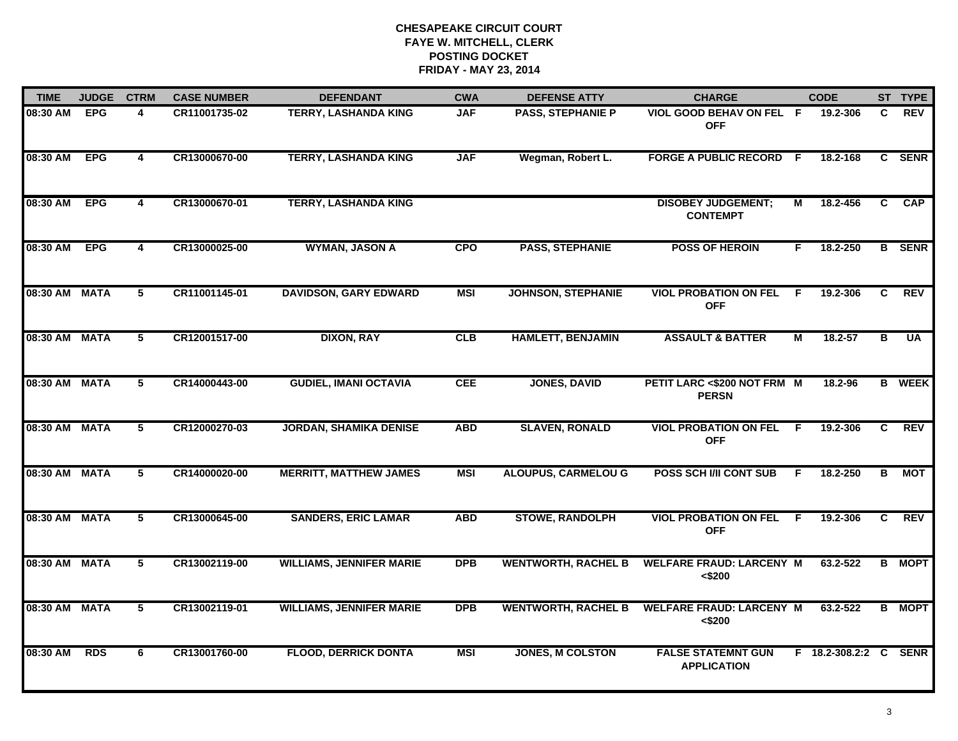| <b>TIME</b>   | <b>JUDGE</b> | <b>CTRM</b>             | <b>CASE NUMBER</b> | <b>DEFENDANT</b>                | <b>CWA</b> | <b>DEFENSE ATTY</b>        | <b>CHARGE</b>                                   |    | <b>CODE</b>      |    | ST TYPE       |
|---------------|--------------|-------------------------|--------------------|---------------------------------|------------|----------------------------|-------------------------------------------------|----|------------------|----|---------------|
| 08:30 AM      | <b>EPG</b>   | 4                       | CR11001735-02      | <b>TERRY, LASHANDA KING</b>     | <b>JAF</b> | <b>PASS, STEPHANIE P</b>   | VIOL GOOD BEHAV ON FEL F<br><b>OFF</b>          |    | 19.2-306         | C. | <b>REV</b>    |
| 08:30 AM      | <b>EPG</b>   | $\overline{\mathbf{4}}$ | CR13000670-00      | <b>TERRY, LASHANDA KING</b>     | <b>JAF</b> | Wegman, Robert L.          | <b>FORGE A PUBLIC RECORD F</b>                  |    | 18.2-168         | C  | <b>SENR</b>   |
| 08:30 AM      | <b>EPG</b>   | 4                       | CR13000670-01      | <b>TERRY, LASHANDA KING</b>     |            |                            | <b>DISOBEY JUDGEMENT;</b><br><b>CONTEMPT</b>    | М  | 18.2-456         | C  | <b>CAP</b>    |
| 08:30 AM      | <b>EPG</b>   | 4                       | CR13000025-00      | <b>WYMAN, JASON A</b>           | <b>CPO</b> | <b>PASS, STEPHANIE</b>     | <b>POSS OF HEROIN</b>                           | F. | 18.2-250         |    | <b>B</b> SENR |
| 08:30 AM MATA |              | 5                       | CR11001145-01      | <b>DAVIDSON, GARY EDWARD</b>    | <b>MSI</b> | <b>JOHNSON, STEPHANIE</b>  | <b>VIOL PROBATION ON FEL</b><br><b>OFF</b>      | F. | 19.2-306         | C. | <b>REV</b>    |
| 08:30 AM MATA |              | 5                       | CR12001517-00      | <b>DIXON, RAY</b>               | CLB        | <b>HAMLETT, BENJAMIN</b>   | <b>ASSAULT &amp; BATTER</b>                     | М  | 18.2-57          | в  | <b>UA</b>     |
| 08:30 AM MATA |              | 5                       | CR14000443-00      | <b>GUDIEL, IMANI OCTAVIA</b>    | <b>CEE</b> | <b>JONES, DAVID</b>        | PETIT LARC <\$200 NOT FRM M<br><b>PERSN</b>     |    | 18.2-96          |    | <b>B</b> WEEK |
| 08:30 AM MATA |              | 5                       | CR12000270-03      | <b>JORDAN, SHAMIKA DENISE</b>   | <b>ABD</b> | <b>SLAVEN, RONALD</b>      | <b>VIOL PROBATION ON FEL</b><br><b>OFF</b>      | E  | 19.2-306         | C. | <b>REV</b>    |
| 08:30 AM MATA |              | 5                       | CR14000020-00      | <b>MERRITT, MATTHEW JAMES</b>   | <b>MSI</b> | <b>ALOUPUS, CARMELOU G</b> | <b>POSS SCH I/II CONT SUB</b>                   | E  | 18.2-250         | В  | MOT           |
| 08:30 AM MATA |              | 5                       | CR13000645-00      | <b>SANDERS, ERIC LAMAR</b>      | <b>ABD</b> | <b>STOWE, RANDOLPH</b>     | <b>VIOL PROBATION ON FEL</b><br><b>OFF</b>      | E  | 19.2-306         | C  | <b>REV</b>    |
| 08:30 AM MATA |              | 5                       | CR13002119-00      | <b>WILLIAMS, JENNIFER MARIE</b> | <b>DPB</b> | <b>WENTWORTH, RACHEL B</b> | <b>WELFARE FRAUD: LARCENY M</b><br>< \$200      |    | 63.2-522         |    | <b>B</b> MOPT |
| 08:30 AM MATA |              | 5                       | CR13002119-01      | <b>WILLIAMS, JENNIFER MARIE</b> | <b>DPB</b> | <b>WENTWORTH, RACHEL B</b> | <b>WELFARE FRAUD: LARCENY M</b><br>< \$200      |    | 63.2-522         |    | <b>B</b> MOPT |
| 08:30 AM      | <b>RDS</b>   | 6                       | CR13001760-00      | <b>FLOOD, DERRICK DONTA</b>     | <b>MSI</b> | <b>JONES, M COLSTON</b>    | <b>FALSE STATEMNT GUN</b><br><b>APPLICATION</b> |    | F 18.2-308.2:2 C |    | <b>SENR</b>   |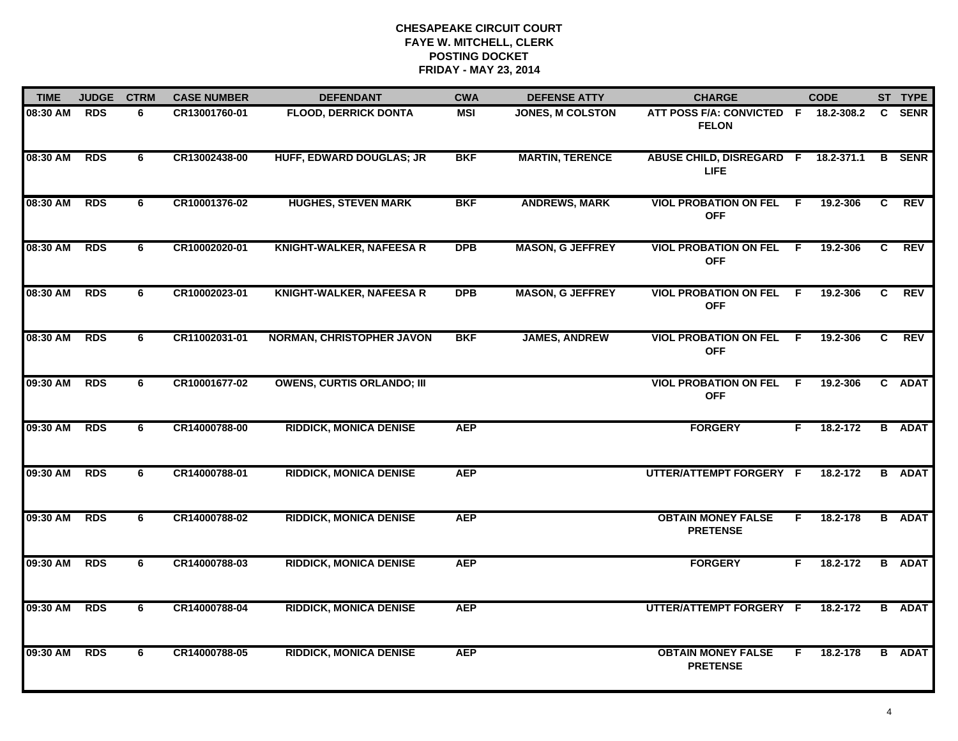| <b>TIME</b>  | <b>JUDGE</b> | <b>CTRM</b> | <b>CASE NUMBER</b> | <b>DEFENDANT</b>                  | <b>CWA</b> | <b>DEFENSE ATTY</b>     | <b>CHARGE</b>                                        |     | <b>CODE</b> |              | ST TYPE       |
|--------------|--------------|-------------|--------------------|-----------------------------------|------------|-------------------------|------------------------------------------------------|-----|-------------|--------------|---------------|
| 08:30 AM RDS |              | 6           | CR13001760-01      | <b>FLOOD, DERRICK DONTA</b>       | MSI        | <b>JONES, M COLSTON</b> | ATT POSS F/A: CONVICTED F 18.2-308.2<br><b>FELON</b> |     |             | $\mathbf{C}$ | <b>SENR</b>   |
| 08:30 AM     | <b>RDS</b>   | 6           | CR13002438-00      | <b>HUFF, EDWARD DOUGLAS; JR</b>   | <b>BKF</b> | <b>MARTIN, TERENCE</b>  | ABUSE CHILD, DISREGARD F 18.2-371.1<br><b>LIFE</b>   |     |             |              | <b>B</b> SENR |
| 08:30 AM     | <b>RDS</b>   | 6           | CR10001376-02      | <b>HUGHES, STEVEN MARK</b>        | <b>BKF</b> | <b>ANDREWS, MARK</b>    | <b>VIOL PROBATION ON FEL</b><br><b>OFF</b>           | - F | 19.2-306    | C            | <b>REV</b>    |
| 08:30 AM     | <b>RDS</b>   | 6           | CR10002020-01      | <b>KNIGHT-WALKER, NAFEESA R</b>   | <b>DPB</b> | <b>MASON, G JEFFREY</b> | <b>VIOL PROBATION ON FEL F</b><br><b>OFF</b>         |     | 19.2-306    | C            | <b>REV</b>    |
| 08:30 AM     | <b>RDS</b>   | 6           | CR10002023-01      | <b>KNIGHT-WALKER, NAFEESA R</b>   | <b>DPB</b> | <b>MASON, G JEFFREY</b> | <b>VIOL PROBATION ON FEL</b><br><b>OFF</b>           | F.  | 19.2-306    | C            | <b>REV</b>    |
| 08:30 AM RDS |              | 6           | CR11002031-01      | <b>NORMAN, CHRISTOPHER JAVON</b>  | <b>BKF</b> | <b>JAMES, ANDREW</b>    | <b>VIOL PROBATION ON FEL F</b><br><b>OFF</b>         |     | 19.2-306    | C.           | <b>REV</b>    |
| 09:30 AM     | <b>RDS</b>   | 6           | CR10001677-02      | <b>OWENS, CURTIS ORLANDO; III</b> |            |                         | <b>VIOL PROBATION ON FEL</b><br><b>OFF</b>           | - F | 19.2-306    |              | C ADAT        |
| 09:30 AM     | <b>RDS</b>   | 6           | CR14000788-00      | <b>RIDDICK, MONICA DENISE</b>     | <b>AEP</b> |                         | <b>FORGERY</b>                                       | F   | 18.2-172    |              | <b>B</b> ADAT |
| 09:30 AM     | <b>RDS</b>   | 6           | CR14000788-01      | <b>RIDDICK, MONICA DENISE</b>     | <b>AEP</b> |                         | UTTER/ATTEMPT FORGERY F                              |     | 18.2-172    |              | <b>B</b> ADAT |
| 09:30 AM     | <b>RDS</b>   | 6           | CR14000788-02      | <b>RIDDICK, MONICA DENISE</b>     | <b>AEP</b> |                         | <b>OBTAIN MONEY FALSE</b><br><b>PRETENSE</b>         | F.  | 18.2-178    |              | <b>B</b> ADAT |
| 09:30 AM     | <b>RDS</b>   | 6           | CR14000788-03      | <b>RIDDICK, MONICA DENISE</b>     | <b>AEP</b> |                         | <b>FORGERY</b>                                       | F.  | 18.2-172    |              | <b>B</b> ADAT |
| 09:30 AM     | <b>RDS</b>   | 6           | CR14000788-04      | <b>RIDDICK, MONICA DENISE</b>     | <b>AEP</b> |                         | UTTER/ATTEMPT FORGERY F                              |     | 18.2-172    |              | <b>B</b> ADAT |
| 09:30 AM     | <b>RDS</b>   | 6           | CR14000788-05      | <b>RIDDICK, MONICA DENISE</b>     | <b>AEP</b> |                         | <b>OBTAIN MONEY FALSE</b><br><b>PRETENSE</b>         | F.  | 18.2-178    |              | <b>B</b> ADAT |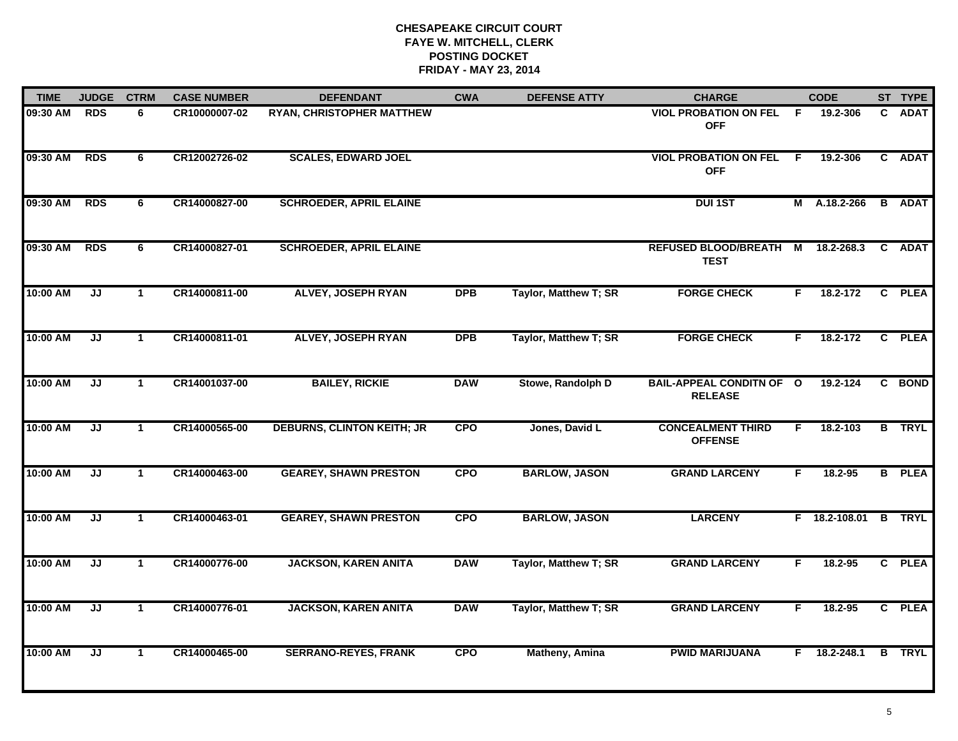| <b>TIME</b> | <b>JUDGE</b>                      | <b>CTRM</b>          | <b>CASE NUMBER</b> | <b>DEFENDANT</b>                  | <b>CWA</b> | <b>DEFENSE ATTY</b>   | <b>CHARGE</b>                                     |     | <b>CODE</b>    |                | ST TYPE       |
|-------------|-----------------------------------|----------------------|--------------------|-----------------------------------|------------|-----------------------|---------------------------------------------------|-----|----------------|----------------|---------------|
| 09:30 AM    | <b>RDS</b>                        | 6                    | CR10000007-02      | <b>RYAN, CHRISTOPHER MATTHEW</b>  |            |                       | <b>VIOL PROBATION ON FEL</b><br><b>OFF</b>        | -F  | 19.2-306       | C.             | <b>ADAT</b>   |
| 09:30 AM    | <b>RDS</b>                        | 6                    | CR12002726-02      | <b>SCALES, EDWARD JOEL</b>        |            |                       | <b>VIOL PROBATION ON FEL</b><br><b>OFF</b>        | - F | 19.2-306       |                | C ADAT        |
| 09:30 AM    | <b>RDS</b>                        | 6                    | CR14000827-00      | <b>SCHROEDER, APRIL ELAINE</b>    |            |                       | <b>DUI 1ST</b>                                    |     | M A.18.2-266   |                | <b>B</b> ADAT |
| 09:30 AM    | <b>RDS</b>                        | 6                    | CR14000827-01      | <b>SCHROEDER, APRIL ELAINE</b>    |            |                       | <b>REFUSED BLOOD/BREATH M</b><br><b>TEST</b>      |     | 18.2-268.3     |                | C ADAT        |
| 10:00 AM    | JJ                                | $\mathbf 1$          | CR14000811-00      | <b>ALVEY, JOSEPH RYAN</b>         | <b>DPB</b> | Taylor, Matthew T; SR | <b>FORGE CHECK</b>                                | F.  | 18.2-172       | $\mathbf{c}$   | <b>PLEA</b>   |
| 10:00 AM    | JJ                                | $\mathbf 1$          | CR14000811-01      | <b>ALVEY, JOSEPH RYAN</b>         | <b>DPB</b> | Taylor, Matthew T; SR | <b>FORGE CHECK</b>                                | F.  | 18.2-172       | $\mathbf{c}$   | <b>PLEA</b>   |
| 10:00 AM    | $\overline{\mathsf{J}\mathsf{J}}$ | $\mathbf{1}$         | CR14001037-00      | <b>BAILEY, RICKIE</b>             | <b>DAW</b> | Stowe, Randolph D     | <b>BAIL-APPEAL CONDITN OF O</b><br><b>RELEASE</b> |     | 19.2-124       | $\overline{c}$ | <b>BOND</b>   |
| 10:00 AM    | JJ                                | $\mathbf{1}$         | CR14000565-00      | <b>DEBURNS, CLINTON KEITH; JR</b> | <b>CPO</b> | Jones, David L        | <b>CONCEALMENT THIRD</b><br><b>OFFENSE</b>        | F   | 18.2-103       |                | <b>B</b> TRYL |
| 10:00 AM    | JJ                                | $\mathbf 1$          | CR14000463-00      | <b>GEAREY, SHAWN PRESTON</b>      | <b>CPO</b> | <b>BARLOW, JASON</b>  | <b>GRAND LARCENY</b>                              | F   | $18.2 - 95$    | В              | <b>PLEA</b>   |
| 10:00 AM    | JJ                                | $\blacktriangleleft$ | CR14000463-01      | <b>GEAREY, SHAWN PRESTON</b>      | <b>CPO</b> | <b>BARLOW, JASON</b>  | <b>LARCENY</b>                                    |     | F 18.2-108.01  |                | <b>B</b> TRYL |
| 10:00 AM    | JJ                                | -1                   | CR14000776-00      | <b>JACKSON, KAREN ANITA</b>       | <b>DAW</b> | Taylor, Matthew T; SR | <b>GRAND LARCENY</b>                              | F.  | 18.2-95        |                | C PLEA        |
| 10:00 AM    | JJ                                | $\mathbf{1}$         | CR14000776-01      | <b>JACKSON, KAREN ANITA</b>       | <b>DAW</b> | Taylor, Matthew T; SR | <b>GRAND LARCENY</b>                              | F.  | 18.2-95        |                | C PLEA        |
| 10:00 AM    | JJ                                | $\mathbf{1}$         | CR14000465-00      | <b>SERRANO-REYES, FRANK</b>       | <b>CPO</b> | <b>Matheny, Amina</b> | <b>PWID MARIJUANA</b>                             |     | $F$ 18.2-248.1 |                | <b>B</b> TRYL |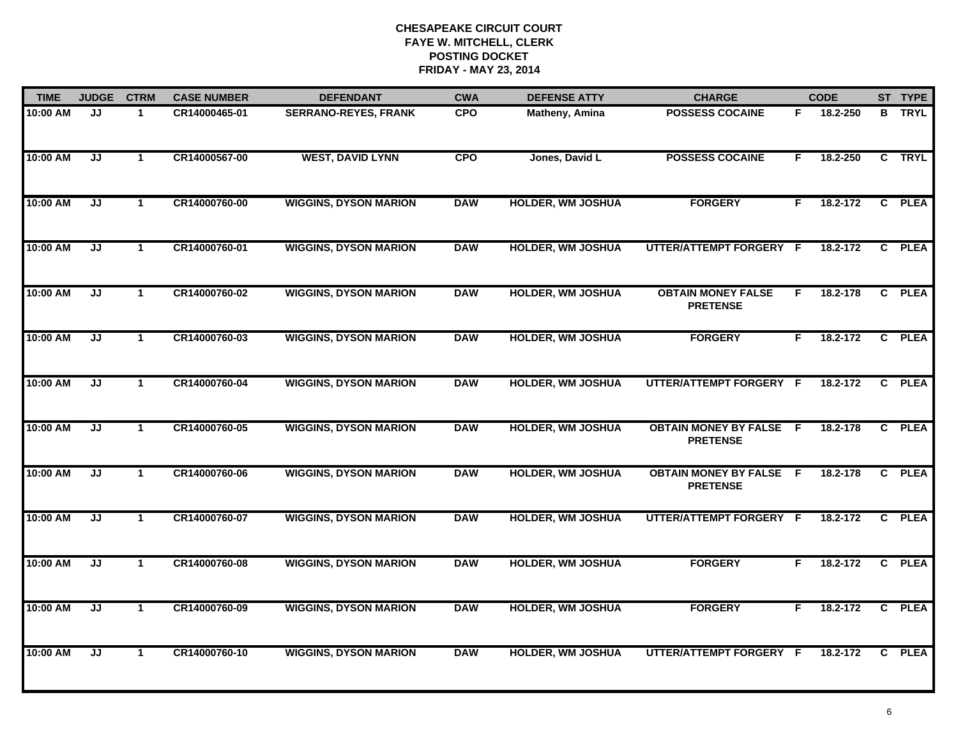| <b>TIME</b> | <b>JUDGE</b> | <b>CTRM</b>          | <b>CASE NUMBER</b> | <b>DEFENDANT</b>             | <b>CWA</b> | <b>DEFENSE ATTY</b>      | <b>CHARGE</b>                                     |     | <b>CODE</b> |                | ST TYPE       |
|-------------|--------------|----------------------|--------------------|------------------------------|------------|--------------------------|---------------------------------------------------|-----|-------------|----------------|---------------|
| 10:00 AM    | JJ           | $\mathbf 1$          | CR14000465-01      | <b>SERRANO-REYES, FRANK</b>  | <b>CPO</b> | Matheny, Amina           | <b>POSSESS COCAINE</b>                            | F.  | 18.2-250    |                | <b>B</b> TRYL |
| 10:00 AM    | JJ           | $\mathbf{1}$         | CR14000567-00      | <b>WEST, DAVID LYNN</b>      | <b>CPO</b> | Jones, David L           | <b>POSSESS COCAINE</b>                            | F.  | 18.2-250    | $\overline{c}$ | <b>TRYL</b>   |
| 10:00 AM    | JJ           | $\mathbf{1}$         | CR14000760-00      | <b>WIGGINS, DYSON MARION</b> | <b>DAW</b> | <b>HOLDER, WM JOSHUA</b> | <b>FORGERY</b>                                    | F   | 18.2-172    |                | C PLEA        |
| 10:00 AM    | JJ           | $\mathbf 1$          | CR14000760-01      | <b>WIGGINS, DYSON MARION</b> | <b>DAW</b> | <b>HOLDER, WM JOSHUA</b> | UTTER/ATTEMPT FORGERY F                           |     | 18.2-172    | $\mathbf{C}$   | <b>PLEA</b>   |
| 10:00 AM    | JJ           | $\mathbf 1$          | CR14000760-02      | <b>WIGGINS, DYSON MARION</b> | <b>DAW</b> | <b>HOLDER, WM JOSHUA</b> | <b>OBTAIN MONEY FALSE</b><br><b>PRETENSE</b>      | F.  | 18.2-178    |                | C PLEA        |
| 10:00 AM    | JJ           | $\mathbf 1$          | CR14000760-03      | <b>WIGGINS, DYSON MARION</b> | <b>DAW</b> | <b>HOLDER, WM JOSHUA</b> | <b>FORGERY</b>                                    | F.  | 18.2-172    |                | C PLEA        |
| 10:00 AM    | JJ           | $\mathbf{1}$         | CR14000760-04      | <b>WIGGINS, DYSON MARION</b> | <b>DAW</b> | <b>HOLDER, WM JOSHUA</b> | UTTER/ATTEMPT FORGERY F                           |     | 18.2-172    |                | C PLEA        |
| 10:00 AM    | JJ           | $\blacktriangleleft$ | CR14000760-05      | <b>WIGGINS, DYSON MARION</b> | <b>DAW</b> | <b>HOLDER, WM JOSHUA</b> | <b>OBTAIN MONEY BY FALSE</b><br><b>PRETENSE</b>   | - F | 18.2-178    |                | C PLEA        |
| 10:00 AM    | JJ           | $\blacktriangleleft$ | CR14000760-06      | <b>WIGGINS, DYSON MARION</b> | <b>DAW</b> | <b>HOLDER, WM JOSHUA</b> | <b>OBTAIN MONEY BY FALSE F</b><br><b>PRETENSE</b> |     | 18.2-178    | $\mathbf{c}$   | <b>PLEA</b>   |
| 10:00 AM    | JJ           | $\blacktriangleleft$ | CR14000760-07      | <b>WIGGINS, DYSON MARION</b> | <b>DAW</b> | <b>HOLDER, WM JOSHUA</b> | UTTER/ATTEMPT FORGERY F                           |     | 18.2-172    | $\mathbf{c}$   | <b>PLEA</b>   |
| 10:00 AM    | JJ           | $\mathbf{1}$         | CR14000760-08      | <b>WIGGINS, DYSON MARION</b> | <b>DAW</b> | <b>HOLDER, WM JOSHUA</b> | <b>FORGERY</b>                                    | F.  | 18.2-172    | $\overline{c}$ | <b>PLEA</b>   |
| 10:00 AM    | JJ           | $\mathbf{1}$         | CR14000760-09      | <b>WIGGINS, DYSON MARION</b> | <b>DAW</b> | <b>HOLDER, WM JOSHUA</b> | <b>FORGERY</b>                                    | F.  | 18.2-172    |                | C PLEA        |
| 10:00 AM    | JJ           | $\mathbf 1$          | CR14000760-10      | <b>WIGGINS, DYSON MARION</b> | <b>DAW</b> | <b>HOLDER, WM JOSHUA</b> | UTTER/ATTEMPT FORGERY F                           |     | 18.2-172    | C.             | <b>PLEA</b>   |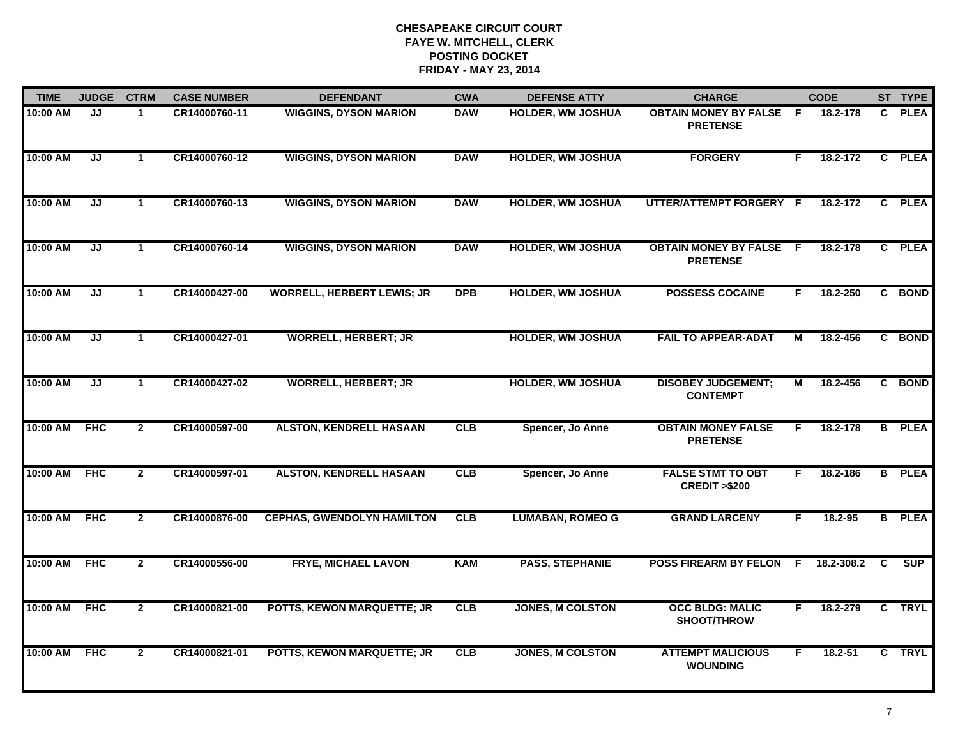| <b>TIME</b> | <b>JUDGE</b> | <b>CTRM</b>    | <b>CASE NUMBER</b> | <b>DEFENDANT</b>                  | <b>CWA</b> | <b>DEFENSE ATTY</b>      | <b>CHARGE</b>                                       |     | <b>CODE</b> |              | ST TYPE       |
|-------------|--------------|----------------|--------------------|-----------------------------------|------------|--------------------------|-----------------------------------------------------|-----|-------------|--------------|---------------|
| 10:00 AM    | JJ           | $\mathbf{1}$   | CR14000760-11      | <b>WIGGINS, DYSON MARION</b>      | <b>DAW</b> | <b>HOLDER, WM JOSHUA</b> | <b>OBTAIN MONEY BY FALSE</b><br><b>PRETENSE</b>     | - F | 18.2-178    | $\mathbf{c}$ | <b>PLEA</b>   |
| 10:00 AM    | IJ           | $\mathbf{1}$   | CR14000760-12      | <b>WIGGINS, DYSON MARION</b>      | <b>DAW</b> | <b>HOLDER, WM JOSHUA</b> | <b>FORGERY</b>                                      | F.  | 18.2-172    |              | C PLEA        |
| 10:00 AM    | JJ           | $\mathbf{1}$   | CR14000760-13      | <b>WIGGINS, DYSON MARION</b>      | <b>DAW</b> | <b>HOLDER, WM JOSHUA</b> | UTTER/ATTEMPT FORGERY F                             |     | 18.2-172    |              | C PLEA        |
| 10:00 AM    | JJ           | $\mathbf{1}$   | CR14000760-14      | <b>WIGGINS, DYSON MARION</b>      | <b>DAW</b> | <b>HOLDER, WM JOSHUA</b> | <b>OBTAIN MONEY BY FALSE F</b><br><b>PRETENSE</b>   |     | 18.2-178    |              | C PLEA        |
| 10:00 AM    | JJ           | $\mathbf{1}$   | CR14000427-00      | <b>WORRELL, HERBERT LEWIS; JR</b> | <b>DPB</b> | <b>HOLDER, WM JOSHUA</b> | <b>POSSESS COCAINE</b>                              | F.  | 18.2-250    |              | C BOND        |
| 10:00 AM    | JJ           | $\mathbf 1$    | CR14000427-01      | <b>WORRELL, HERBERT; JR</b>       |            | <b>HOLDER, WM JOSHUA</b> | <b>FAIL TO APPEAR-ADAT</b>                          | м   | 18.2-456    |              | C BOND        |
| 10:00 AM    | IJ           | $\mathbf{1}$   | CR14000427-02      | <b>WORRELL, HERBERT; JR</b>       |            | <b>HOLDER, WM JOSHUA</b> | <b>DISOBEY JUDGEMENT;</b><br><b>CONTEMPT</b>        | М   | 18.2-456    |              | C BOND        |
| 10:00 AM    | <b>FHC</b>   | $\overline{2}$ | CR14000597-00      | <b>ALSTON, KENDRELL HASAAN</b>    | CLB        | Spencer, Jo Anne         | <b>OBTAIN MONEY FALSE</b><br><b>PRETENSE</b>        | F   | 18.2-178    |              | <b>B</b> PLEA |
| 10:00 AM    | <b>FHC</b>   | $\overline{2}$ | CR14000597-01      | <b>ALSTON, KENDRELL HASAAN</b>    | CLB        | Spencer, Jo Anne         | <b>FALSE STMT TO OBT</b><br><b>CREDIT &gt;\$200</b> | F   | 18.2-186    |              | <b>B</b> PLEA |
| 10:00 AM    | <b>FHC</b>   | $\overline{2}$ | CR14000876-00      | <b>CEPHAS, GWENDOLYN HAMILTON</b> | CLB        | <b>LUMABAN, ROMEO G</b>  | <b>GRAND LARCENY</b>                                | F.  | $18.2 - 95$ |              | <b>B</b> PLEA |
| 10:00 AM    | FHC          | $\mathbf{2}$   | CR14000556-00      | <b>FRYE, MICHAEL LAVON</b>        | <b>KAM</b> | <b>PASS, STEPHANIE</b>   | POSS FIREARM BY FELON F                             |     | 18.2-308.2  | C            | SUP           |
| 10:00 AM    | <b>FHC</b>   | $\overline{2}$ | CR14000821-00      | POTTS, KEWON MARQUETTE; JR        | CLB        | <b>JONES, M COLSTON</b>  | <b>OCC BLDG: MALIC</b><br>SHOOT/THROW               | F   | 18.2-279    |              | C TRYL        |
| 10:00 AM    | <b>FHC</b>   | $\mathbf{2}$   | CR14000821-01      | <b>POTTS, KEWON MARQUETTE; JR</b> | CLB        | <b>JONES, M COLSTON</b>  | <b>ATTEMPT MALICIOUS</b><br><b>WOUNDING</b>         | F.  | $18.2 - 51$ |              | C TRYL        |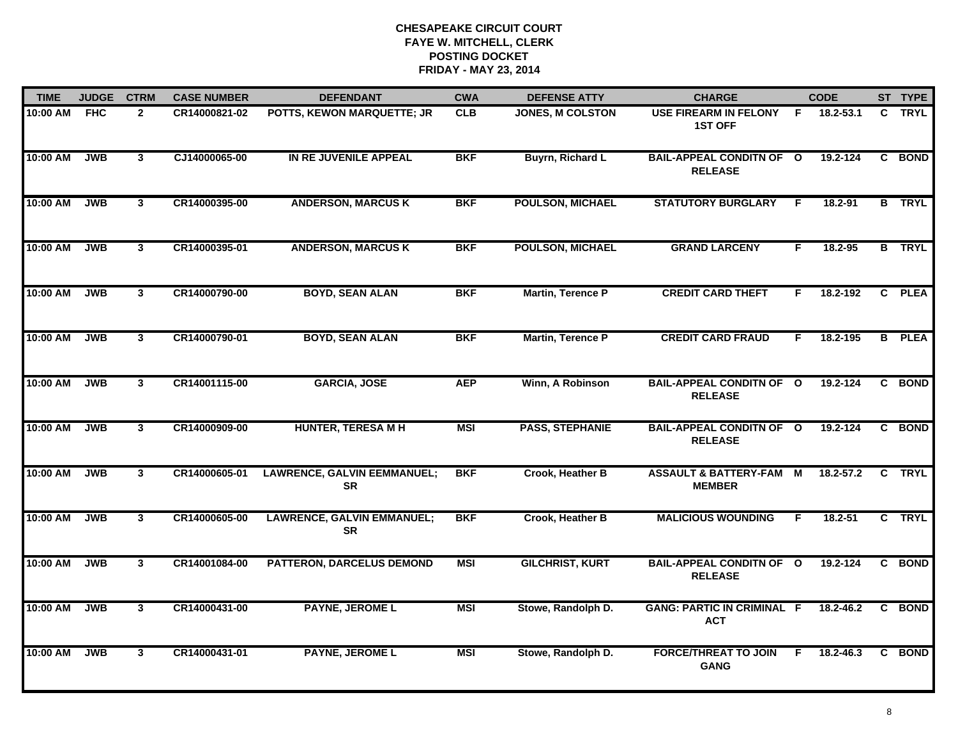| <b>TIME</b> | <b>JUDGE</b> | <b>CTRM</b>    | <b>CASE NUMBER</b> | <b>DEFENDANT</b>                                | <b>CWA</b> | <b>DEFENSE ATTY</b>      | <b>CHARGE</b>                                       |    | <b>CODE</b>  |    | ST TYPE       |
|-------------|--------------|----------------|--------------------|-------------------------------------------------|------------|--------------------------|-----------------------------------------------------|----|--------------|----|---------------|
| 10:00 AM    | <b>FHC</b>   | $\mathbf{2}$   | CR14000821-02      | POTTS, KEWON MARQUETTE; JR                      | <b>CLB</b> | JONES, M COLSTON         | <b>USE FIREARM IN FELONY</b><br><b>1ST OFF</b>      | F. | 18.2-53.1    | C. | <b>TRYL</b>   |
| 10:00 AM    | <b>JWB</b>   | $\mathbf{3}$   | CJ14000065-00      | IN RE JUVENILE APPEAL                           | <b>BKF</b> | <b>Buyrn, Richard L</b>  | <b>BAIL-APPEAL CONDITN OF O</b><br><b>RELEASE</b>   |    | 19.2-124     |    | C BOND        |
| 10:00 AM    | <b>JWB</b>   | $\mathbf{3}$   | CR14000395-00      | <b>ANDERSON, MARCUS K</b>                       | <b>BKF</b> | <b>POULSON, MICHAEL</b>  | <b>STATUTORY BURGLARY</b>                           | F  | 18.2-91      |    | <b>B</b> TRYL |
| 10:00 AM    | <b>JWB</b>   | $\mathbf{3}$   | CR14000395-01      | <b>ANDERSON, MARCUS K</b>                       | <b>BKF</b> | <b>POULSON, MICHAEL</b>  | <b>GRAND LARCENY</b>                                | F. | $18.2 - 95$  |    | <b>B</b> TRYL |
| 10:00 AM    | <b>JWB</b>   | $\mathbf{3}$   | CR14000790-00      | <b>BOYD, SEAN ALAN</b>                          | <b>BKF</b> | <b>Martin, Terence P</b> | <b>CREDIT CARD THEFT</b>                            | F. | 18.2-192     |    | C PLEA        |
| 10:00 AM    | <b>JWB</b>   | $\mathbf{3}$   | CR14000790-01      | <b>BOYD, SEAN ALAN</b>                          | <b>BKF</b> | Martin, Terence P        | <b>CREDIT CARD FRAUD</b>                            | F. | 18.2-195     |    | <b>B</b> PLEA |
| 10:00 AM    | <b>JWB</b>   | $\mathbf{3}$   | CR14001115-00      | <b>GARCIA, JOSE</b>                             | <b>AEP</b> | Winn, A Robinson         | <b>BAIL-APPEAL CONDITN OF O</b><br><b>RELEASE</b>   |    | 19.2-124     |    | C BOND        |
| 10:00 AM    | <b>JWB</b>   | 3              | CR14000909-00      | <b>HUNTER, TERESA M H</b>                       | <b>MSI</b> | <b>PASS, STEPHANIE</b>   | <b>BAIL-APPEAL CONDITN OF O</b><br><b>RELEASE</b>   |    | 19.2-124     |    | C BOND        |
| 10:00 AM    | <b>JWB</b>   | $\mathbf{3}$   | CR14000605-01      | <b>LAWRENCE, GALVIN EEMMANUEL;</b><br><b>SR</b> | <b>BKF</b> | Crook, Heather B         | <b>ASSAULT &amp; BATTERY-FAM M</b><br><b>MEMBER</b> |    | 18.2-57.2    | C  | <b>TRYL</b>   |
| 10:00 AM    | <b>JWB</b>   | 3 <sup>1</sup> | CR14000605-00      | <b>LAWRENCE, GALVIN EMMANUEL;</b><br><b>SR</b>  | <b>BKF</b> | Crook, Heather B         | <b>MALICIOUS WOUNDING</b>                           | F  | $18.2 - 51$  |    | C TRYL        |
| 10:00 AM    | <b>JWB</b>   | $\mathbf{3}$   | CR14001084-00      | <b>PATTERON, DARCELUS DEMOND</b>                | <b>MSI</b> | <b>GILCHRIST, KURT</b>   | <b>BAIL-APPEAL CONDITN OF O</b><br><b>RELEASE</b>   |    | $19.2 - 124$ |    | C BOND        |
| 10:00 AM    | <b>JWB</b>   | $\overline{3}$ | CR14000431-00      | <b>PAYNE, JEROME L</b>                          | <b>MSI</b> | Stowe, Randolph D.       | <b>GANG: PARTIC IN CRIMINAL F</b><br><b>ACT</b>     |    | 18.2-46.2    |    | C BOND        |
| 10:00 AM    | <b>JWB</b>   | 3              | CR14000431-01      | <b>PAYNE, JEROME L</b>                          | <b>MSI</b> | Stowe, Randolph D.       | <b>FORCE/THREAT TO JOIN</b><br><b>GANG</b>          | F. | 18.2-46.3    | C. | <b>BOND</b>   |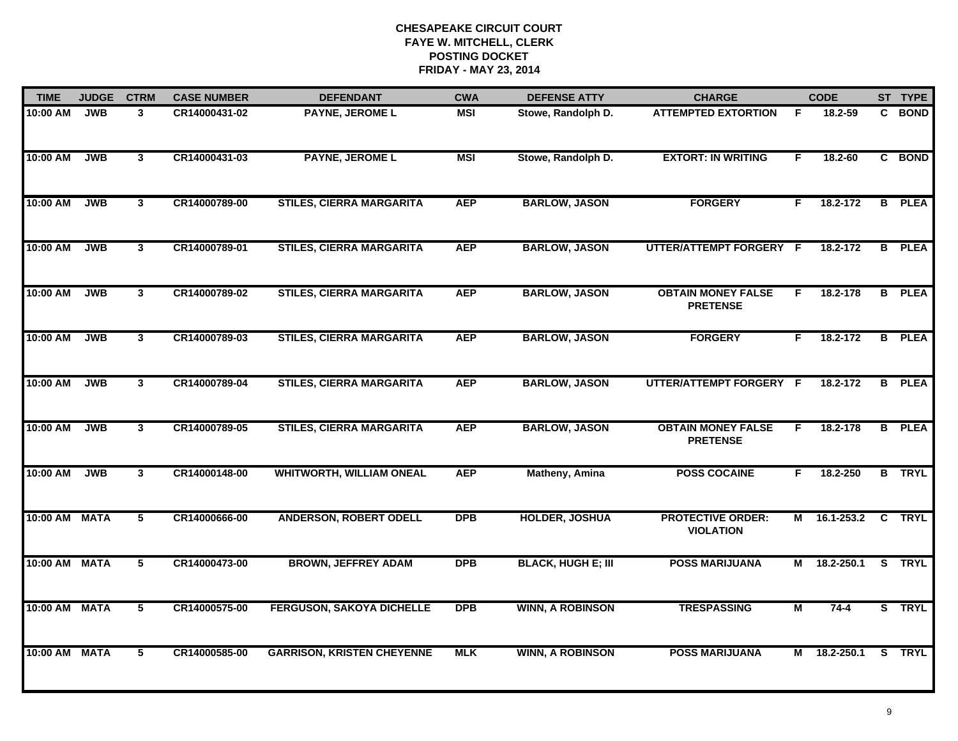| <b>TIME</b>   | <b>JUDGE</b> | <b>CTRM</b>    | <b>CASE NUMBER</b> | <b>DEFENDANT</b>                  | <b>CWA</b> | <b>DEFENSE ATTY</b>       | <b>CHARGE</b>                                |                | <b>CODE</b>  |                | ST TYPE       |
|---------------|--------------|----------------|--------------------|-----------------------------------|------------|---------------------------|----------------------------------------------|----------------|--------------|----------------|---------------|
| 10:00 AM      | <b>JWB</b>   | 3              | CR14000431-02      | <b>PAYNE, JEROME L</b>            | MSI        | Stowe, Randolph D.        | <b>ATTEMPTED EXTORTION</b>                   | -F             | 18.2-59      | C.             | <b>BOND</b>   |
| 10:00 AM      | <b>JWB</b>   | $\overline{3}$ | CR14000431-03      | <b>PAYNE, JEROME L</b>            | <b>MSI</b> | Stowe, Randolph D.        | <b>EXTORT: IN WRITING</b>                    | F              | $18.2 - 60$  |                | C BOND        |
| 10:00 AM      | <b>JWB</b>   | $\overline{3}$ | CR14000789-00      | <b>STILES, CIERRA MARGARITA</b>   | <b>AEP</b> | <b>BARLOW, JASON</b>      | <b>FORGERY</b>                               | F              | 18.2-172     | $\overline{B}$ | <b>PLEA</b>   |
| 10:00 AM      | <b>JWB</b>   | 3              | CR14000789-01      | <b>STILES, CIERRA MARGARITA</b>   | <b>AEP</b> | <b>BARLOW, JASON</b>      | UTTER/ATTEMPT FORGERY F                      |                | 18.2-172     | B              | <b>PLEA</b>   |
| 10:00 AM      | <b>JWB</b>   | 3              | CR14000789-02      | <b>STILES, CIERRA MARGARITA</b>   | <b>AEP</b> | <b>BARLOW, JASON</b>      | <b>OBTAIN MONEY FALSE</b><br><b>PRETENSE</b> | F.             | 18.2-178     | B              | <b>PLEA</b>   |
| 10:00 AM      | <b>JWB</b>   | 3              | CR14000789-03      | <b>STILES, CIERRA MARGARITA</b>   | <b>AEP</b> | <b>BARLOW, JASON</b>      | <b>FORGERY</b>                               | F.             | 18.2-172     | B              | <b>PLEA</b>   |
| 10:00 AM      | <b>JWB</b>   | $\overline{3}$ | CR14000789-04      | <b>STILES, CIERRA MARGARITA</b>   | <b>AEP</b> | <b>BARLOW, JASON</b>      | UTTER/ATTEMPT FORGERY F                      |                | 18.2-172     | $\overline{B}$ | <b>PLEA</b>   |
| 10:00 AM      | <b>JWB</b>   | $\mathbf{3}$   | CR14000789-05      | <b>STILES, CIERRA MARGARITA</b>   | <b>AEP</b> | <b>BARLOW, JASON</b>      | <b>OBTAIN MONEY FALSE</b><br><b>PRETENSE</b> | F.             | 18.2-178     | B              | <b>PLEA</b>   |
| 10:00 AM      | <b>JWB</b>   | $\mathbf{3}$   | CR14000148-00      | <b>WHITWORTH, WILLIAM ONEAL</b>   | <b>AEP</b> | <b>Matheny, Amina</b>     | <b>POSS COCAINE</b>                          | F              | 18.2-250     |                | <b>B</b> TRYL |
| 10:00 AM MATA |              | 5              | CR14000666-00      | <b>ANDERSON, ROBERT ODELL</b>     | <b>DPB</b> | <b>HOLDER, JOSHUA</b>     | <b>PROTECTIVE ORDER:</b><br><b>VIOLATION</b> |                | M 16.1-253.2 |                | C TRYL        |
| 10:00 AM MATA |              | 5              | CR14000473-00      | <b>BROWN, JEFFREY ADAM</b>        | DPB        | <b>BLACK, HUGH E; III</b> | <b>POSS MARIJUANA</b>                        | М              | 18.2-250.1   | $\overline{s}$ | <b>TRYL</b>   |
| 10:00 AM MATA |              | $\overline{5}$ | CR14000575-00      | <b>FERGUSON, SAKOYA DICHELLE</b>  | <b>DPB</b> | <b>WINN, A ROBINSON</b>   | <b>TRESPASSING</b>                           | $\overline{M}$ | $74 - 4$     |                | S TRYL        |
| 10:00 AM MATA |              | 5              | CR14000585-00      | <b>GARRISON, KRISTEN CHEYENNE</b> | <b>MLK</b> | <b>WINN, A ROBINSON</b>   | <b>POSS MARIJUANA</b>                        | M              | 18.2-250.1   |                | S TRYL        |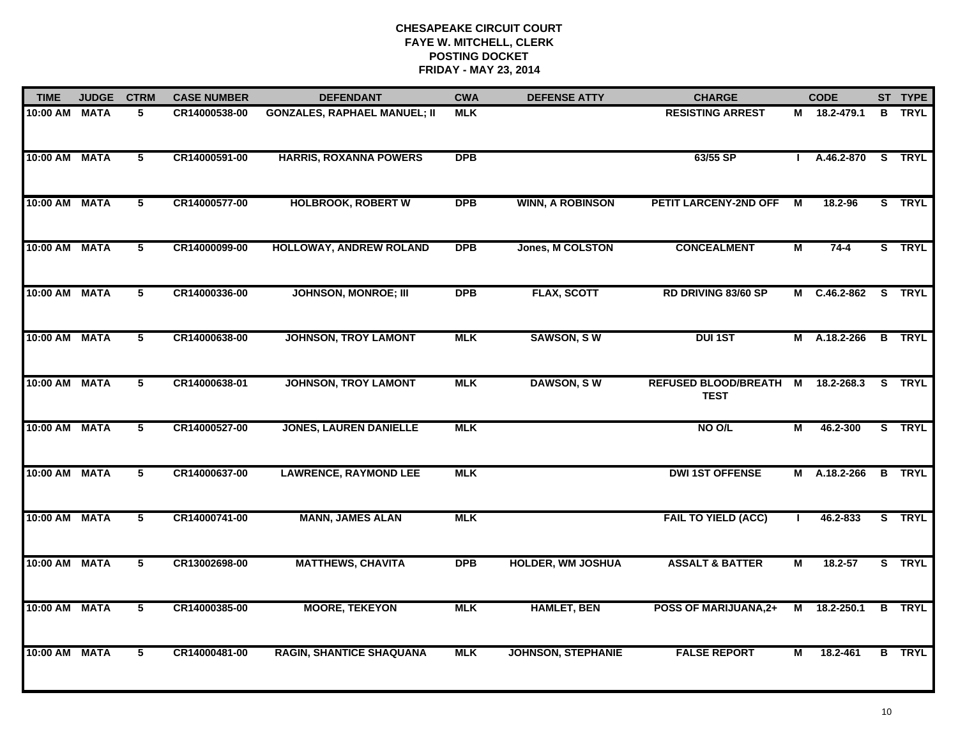| <b>TIME</b>   | <b>JUDGE</b> | <b>CTRM</b>    | <b>CASE NUMBER</b> | <b>DEFENDANT</b>                    | <b>CWA</b> | <b>DEFENSE ATTY</b>       | <b>CHARGE</b>                              |   | <b>CODE</b>  | ST TYPE       |
|---------------|--------------|----------------|--------------------|-------------------------------------|------------|---------------------------|--------------------------------------------|---|--------------|---------------|
| 10:00 AM MATA |              | 5              | CR14000538-00      | <b>GONZALES, RAPHAEL MANUEL; II</b> | <b>MLK</b> |                           | <b>RESISTING ARREST</b>                    |   | M 18.2-479.1 | <b>B</b> TRYL |
| 10:00 AM      | <b>MATA</b>  | $\overline{5}$ | CR14000591-00      | <b>HARRIS, ROXANNA POWERS</b>       | <b>DPB</b> |                           | 63/55 SP                                   |   | A.46.2-870   | S TRYL        |
| 10:00 AM      | <b>MATA</b>  | $\overline{5}$ | CR14000577-00      | <b>HOLBROOK, ROBERT W</b>           | <b>DPB</b> | <b>WINN, A ROBINSON</b>   | <b>PETIT LARCENY-2ND OFF</b>               | M | 18.2-96      | S TRYL        |
| 10:00 AM MATA |              | 5              | CR14000099-00      | HOLLOWAY, ANDREW ROLAND             | <b>DPB</b> | Jones, M COLSTON          | <b>CONCEALMENT</b>                         | М | $74 - 4$     | S TRYL        |
| 10:00 AM MATA |              | 5              | CR14000336-00      | <b>JOHNSON, MONROE; III</b>         | <b>DPB</b> | <b>FLAX, SCOTT</b>        | RD DRIVING 83/60 SP                        |   | M C.46.2-862 | S TRYL        |
| 10:00 AM MATA |              | $\overline{5}$ | CR14000638-00      | <b>JOHNSON, TROY LAMONT</b>         | <b>MLK</b> | <b>SAWSON, SW</b>         | <b>DUI 1ST</b>                             |   | M A.18.2-266 | <b>B</b> TRYL |
| 10:00 AM MATA |              | 5              | CR14000638-01      | <b>JOHNSON, TROY LAMONT</b>         | <b>MLK</b> | <b>DAWSON, SW</b>         | <b>REFUSED BLOOD/BREATH</b><br><b>TEST</b> | М | 18.2-268.3   | S TRYL        |
| 10:00 AM MATA |              | 5              | CR14000527-00      | <b>JONES, LAUREN DANIELLE</b>       | <b>MLK</b> |                           | NO O/L                                     | М | 46.2-300     | S TRYL        |
| 10:00 AM      | <b>MATA</b>  | 5              | CR14000637-00      | <b>LAWRENCE, RAYMOND LEE</b>        | <b>MLK</b> |                           | <b>DWI 1ST OFFENSE</b>                     |   | M A.18.2-266 | <b>B</b> TRYL |
| 10:00 AM MATA |              | 5              | CR14000741-00      | <b>MANN, JAMES ALAN</b>             | <b>MLK</b> |                           | <b>FAIL TO YIELD (ACC)</b>                 |   | 46.2-833     | S TRYL        |
| 10:00 AM MATA |              | 5              | CR13002698-00      | <b>MATTHEWS, CHAVITA</b>            | <b>DPB</b> | <b>HOLDER, WM JOSHUA</b>  | <b>ASSALT &amp; BATTER</b>                 | М | 18.2-57      | S TRYL        |
| 10:00 AM MATA |              | $\overline{5}$ | CR14000385-00      | <b>MOORE, TEKEYON</b>               | <b>MLK</b> | <b>HAMLET, BEN</b>        | <b>POSS OF MARIJUANA,2+</b>                |   | M 18.2-250.1 | <b>B</b> TRYL |
| 10:00 AM MATA |              | 5              | CR14000481-00      | <b>RAGIN, SHANTICE SHAQUANA</b>     | <b>MLK</b> | <b>JOHNSON, STEPHANIE</b> | <b>FALSE REPORT</b>                        | М | 18.2-461     | <b>B</b> TRYL |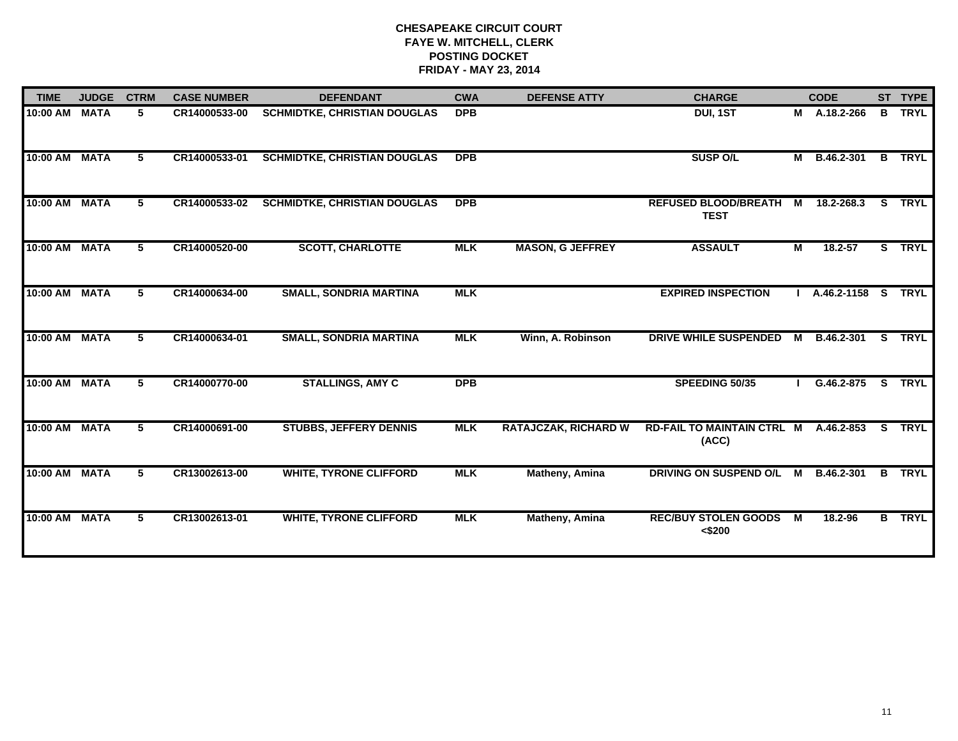| <b>TIME</b>   | <b>JUDGE</b> | <b>CTRM</b> | <b>CASE NUMBER</b> | <b>DEFENDANT</b>                    | <b>CWA</b> | <b>DEFENSE ATTY</b>         | <b>CHARGE</b>                                  |   | <b>CODE</b>        |    | ST TYPE       |
|---------------|--------------|-------------|--------------------|-------------------------------------|------------|-----------------------------|------------------------------------------------|---|--------------------|----|---------------|
| 10:00 AM      | <b>MATA</b>  | 5           | CR14000533-00      | <b>SCHMIDTKE, CHRISTIAN DOUGLAS</b> | <b>DPB</b> |                             | DUI, 1ST                                       |   | M A.18.2-266       | B  | <b>TRYL</b>   |
| 10:00 AM      | <b>MATA</b>  | 5           | CR14000533-01      | <b>SCHMIDTKE, CHRISTIAN DOUGLAS</b> | <b>DPB</b> |                             | <b>SUSP O/L</b>                                |   | M B.46.2-301       |    | <b>B</b> TRYL |
| 10:00 AM      | <b>MATA</b>  | 5           | CR14000533-02      | <b>SCHMIDTKE, CHRISTIAN DOUGLAS</b> | <b>DPB</b> |                             | <b>REFUSED BLOOD/BREATH</b><br><b>TEST</b>     | М | 18.2-268.3         | S. | <b>TRYL</b>   |
| 10:00 AM      | <b>MATA</b>  | 5           | CR14000520-00      | <b>SCOTT, CHARLOTTE</b>             | <b>MLK</b> | <b>MASON, G JEFFREY</b>     | <b>ASSAULT</b>                                 | Μ | $18.2 - 57$        |    | S TRYL        |
| 10:00 AM      | <b>MATA</b>  | 5           | CR14000634-00      | <b>SMALL, SONDRIA MARTINA</b>       | <b>MLK</b> |                             | <b>EXPIRED INSPECTION</b>                      |   | A.46.2-1158 S TRYL |    |               |
| 10:00 AM      | <b>MATA</b>  | 5           | CR14000634-01      | <b>SMALL, SONDRIA MARTINA</b>       | <b>MLK</b> | Winn, A. Robinson           | DRIVE WHILE SUSPENDED                          | м | B.46.2-301         | S. | <b>TRYL</b>   |
| 10:00 AM MATA |              | 5           | CR14000770-00      | <b>STALLINGS, AMY C</b>             | <b>DPB</b> |                             | SPEEDING 50/35                                 |   | $G.46.2 - 875$     |    | S TRYL        |
| 10:00 AM      | <b>MATA</b>  | 5           | CR14000691-00      | <b>STUBBS, JEFFERY DENNIS</b>       | <b>MLK</b> | <b>RATAJCZAK, RICHARD W</b> | RD-FAIL TO MAINTAIN CTRL M A.46.2-853<br>(ACC) |   |                    |    | S TRYL        |
| 10:00 AM      | <b>MATA</b>  | 5           | CR13002613-00      | <b>WHITE, TYRONE CLIFFORD</b>       | <b>MLK</b> | <b>Matheny, Amina</b>       | DRIVING ON SUSPEND O/L                         | M | B.46.2-301         |    | <b>B</b> TRYL |
| 10:00 AM      | <b>MATA</b>  | 5           | CR13002613-01      | <b>WHITE, TYRONE CLIFFORD</b>       | <b>MLK</b> | Matheny, Amina              | <b>REC/BUY STOLEN GOODS</b><br>< \$200         | М | 18.2-96            |    | <b>B</b> TRYL |